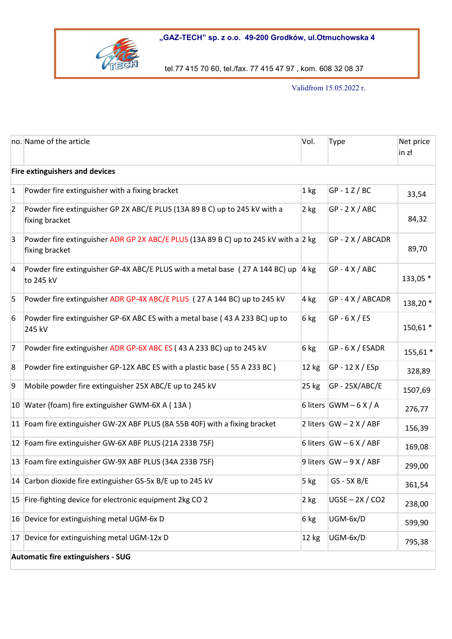"GAZ-TECH" sp. z o.o. 49-200 Grodków, ul.Otmuchowska 4



tel.77 415 70 60, tel./fax. 77 415 47 97 , kom. 608 32 08 37

Validfrom 15.05.2022 r.

|                | no. Name of the article                                                                               | Vol.    | <b>Type</b>               | Net price<br>in zł |  |  |  |
|----------------|-------------------------------------------------------------------------------------------------------|---------|---------------------------|--------------------|--|--|--|
|                | <b>Fire extinguishers and devices</b>                                                                 |         |                           |                    |  |  |  |
| 1              | Powder fire extinguisher with a fixing bracket                                                        | 1 kg    | $GP - 1 Z / BC$           | 33,54              |  |  |  |
| $\overline{2}$ | Powder fire extinguisher GP 2X ABC/E PLUS (13A 89 B C) up to 245 kV with a<br>fixing bracket          | $2$ kg  | $GP - 2X / ABC$           | 84,32              |  |  |  |
| 3              | Powder fire extinguisher ADR GP 2X ABC/E PLUS (13A 89 B C) up to 245 kV with a 2 kg<br>fixing bracket |         | GP-2X/ABCADR              | 89,70              |  |  |  |
| $\overline{4}$ | Powder fire extinguisher GP-4X ABC/E PLUS with a metal base (27 A 144 BC) up 4 kg<br>to 245 kV        |         | $GP - 4 X / ABC$          | 133,05 *           |  |  |  |
| 5              | Powder fire extinguisher ADR GP-4X ABC/E PLUS (27 A 144 BC) up to 245 kV                              | $4$ kg  | GP-4X/ABCADR              | 138,20 *           |  |  |  |
| 6              | Powder fire extinguisher GP-6X ABC ES with a metal base (43 A 233 BC) up to<br>245 kV                 | 6 kg    | $GP - 6X / ES$            | 150,61 *           |  |  |  |
| 7              | Powder fire extinguisher ADR GP-6X ABC ES (43 A 233 BC) up to 245 kV                                  | 6 kg    | GP-6X/ESADR               | 155,61 *           |  |  |  |
| 8              | Powder fire extinguisher GP-12X ABC ES with a plastic base (55 A 233 BC)                              | 12 kg   | $GP - 12 X / ESP$         | 328,89             |  |  |  |
| 9              | Mobile powder fire extinguisher 25X ABC/E up to 245 kV                                                | $25$ kg | GP-25X/ABC/E              | 1507,69            |  |  |  |
|                | 10 Water (foam) fire extinguisher GWM-6X A (13A)                                                      |         | 6 liters $GWM - 6X/A$     | 276,77             |  |  |  |
|                | 11 Foam fire extinguisher GW-2X ABF PLUS (8A 55B 40F) with a fixing bracket                           |         | 2 liters $GW - 2 X / ABF$ | 156,39             |  |  |  |
|                | 12 Foam fire extinguisher GW-6X ABF PLUS (21A 233B 75F)                                               |         | 6 liters $GW - 6 X / ABF$ | 169,08             |  |  |  |
|                | 13 Foam fire extinguisher GW-9X ABF PLUS (34A 233B 75F)                                               |         | 9 liters $GW - 9 X / ABF$ | 299,00             |  |  |  |
|                | 14 Carbon dioxide fire extinguisher GS-5x B/E up to 245 kV                                            | 5 kg    | $GS - 5X B/E$             | 361,54             |  |  |  |
|                | 15 Fire-fighting device for electronic equipment 2kg CO 2                                             | 2 kg    | $UGSE - 2X / CO2$         | 238,00             |  |  |  |
|                | 16 Device for extinguishing metal UGM-6x D                                                            | 6 kg    | UGM-6x/D                  | 599,90             |  |  |  |
| 17             | Device for extinguishing metal UGM-12x D                                                              | 12 kg   | UGM-6x/D                  | 795,38             |  |  |  |
|                | Automatic fire extinguishers - SUG                                                                    |         |                           |                    |  |  |  |